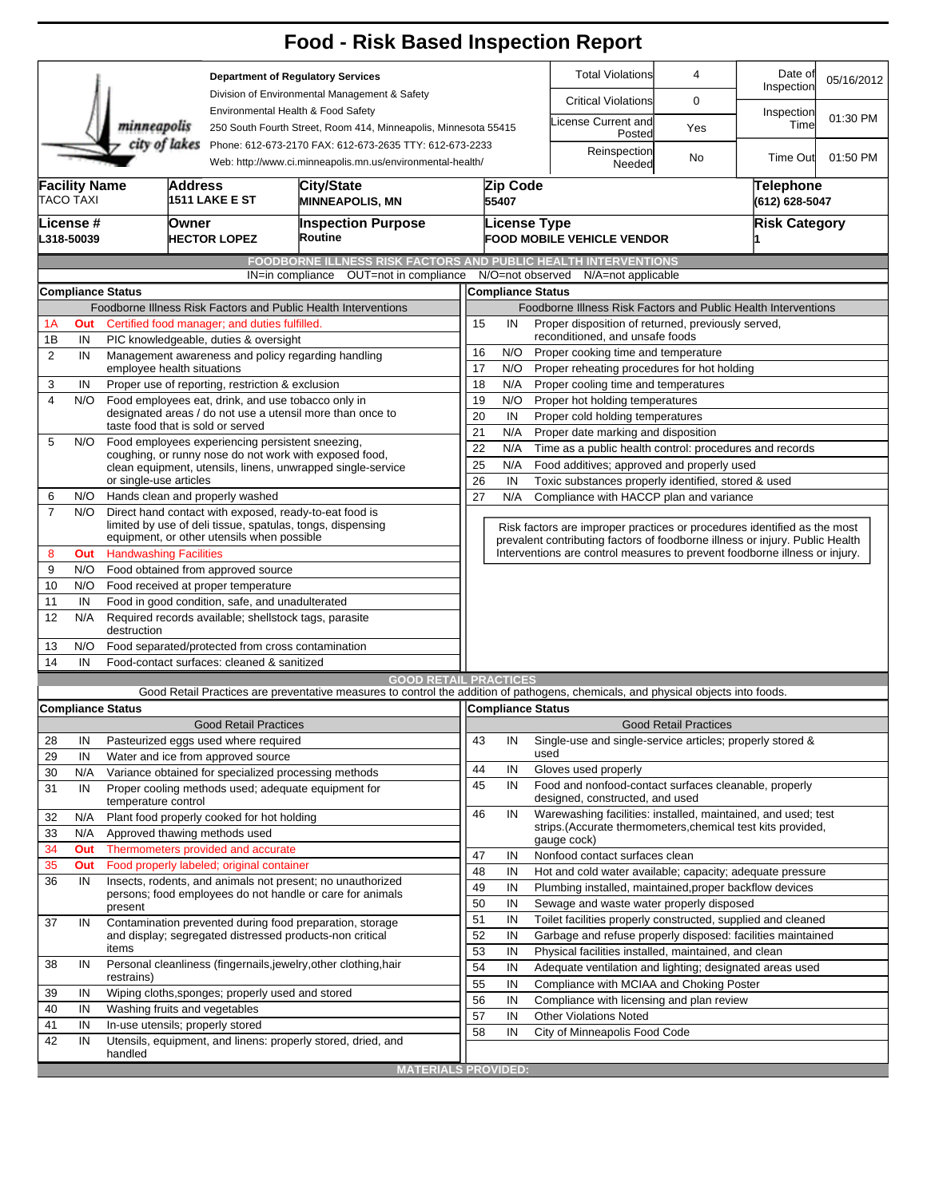|                                                                                                                                        |                                                                                                                      |                                                                                            |                              |                                                       | <b>Food - Risk Based Inspection Report</b>                                                                                        |                                                                                                                   |                                                               |                                                                                                                               |                            |                              |                             |                      |  |
|----------------------------------------------------------------------------------------------------------------------------------------|----------------------------------------------------------------------------------------------------------------------|--------------------------------------------------------------------------------------------|------------------------------|-------------------------------------------------------|-----------------------------------------------------------------------------------------------------------------------------------|-------------------------------------------------------------------------------------------------------------------|---------------------------------------------------------------|-------------------------------------------------------------------------------------------------------------------------------|----------------------------|------------------------------|-----------------------------|----------------------|--|
|                                                                                                                                        |                                                                                                                      |                                                                                            |                              |                                                       | <b>Department of Regulatory Services</b>                                                                                          |                                                                                                                   |                                                               | <b>Total Violations</b>                                                                                                       |                            | 4                            | Date of<br>Inspection       | 05/16/2012           |  |
|                                                                                                                                        |                                                                                                                      |                                                                                            |                              |                                                       | Division of Environmental Management & Safety                                                                                     |                                                                                                                   |                                                               | <b>Critical Violations</b>                                                                                                    |                            | 0                            |                             |                      |  |
|                                                                                                                                        | minneapolis                                                                                                          |                                                                                            |                              | Environmental Health & Food Safety                    | 250 South Fourth Street, Room 414, Minneapolis, Minnesota 55415                                                                   |                                                                                                                   |                                                               | icense Current and                                                                                                            | Posted                     | Yes                          | Inspection<br>Time          | 01:30 PM             |  |
| city of lakes<br>Phone: 612-673-2170 FAX: 612-673-2635 TTY: 612-673-2233<br>Web: http://www.ci.minneapolis.mn.us/environmental-health/ |                                                                                                                      |                                                                                            |                              |                                                       |                                                                                                                                   |                                                                                                                   |                                                               | Reinspection                                                                                                                  | Needed                     | No                           | <b>Time Out</b>             | 01:50 PM             |  |
|                                                                                                                                        | <b>Facility Name</b><br>Address<br>City/State<br><b>TACO TAXI</b><br><b>1511 LAKE E ST</b><br><b>MINNEAPOLIS, MN</b> |                                                                                            |                              |                                                       |                                                                                                                                   |                                                                                                                   | Zip Code<br>55407                                             |                                                                                                                               |                            |                              | Telephone<br>(612) 628-5047 |                      |  |
|                                                                                                                                        | License #<br>L318-50039                                                                                              |                                                                                            | Owner<br><b>HECTOR LOPEZ</b> |                                                       | <b>Inspection Purpose</b><br>Routine                                                                                              |                                                                                                                   |                                                               | <b>License Type</b>                                                                                                           | FOOD MOBILE VEHICLE VENDOR |                              |                             | <b>Risk Category</b> |  |
|                                                                                                                                        |                                                                                                                      |                                                                                            |                              |                                                       | <b>FOODBORNE ILLNESS RISK FACTORS AND PUBLIC HEALTH INTERVENTIONS</b>                                                             |                                                                                                                   |                                                               |                                                                                                                               |                            |                              |                             |                      |  |
|                                                                                                                                        |                                                                                                                      | Compliance Status                                                                          |                              | IN=in compliance                                      | OUT=not in compliance                                                                                                             |                                                                                                                   |                                                               | N/O=not observed<br>N/A=not applicable<br><b>Compliance Status</b>                                                            |                            |                              |                             |                      |  |
|                                                                                                                                        |                                                                                                                      |                                                                                            |                              |                                                       | Foodborne Illness Risk Factors and Public Health Interventions                                                                    |                                                                                                                   |                                                               | Foodborne Illness Risk Factors and Public Health Interventions                                                                |                            |                              |                             |                      |  |
| 1А                                                                                                                                     | Out                                                                                                                  |                                                                                            |                              | Certified food manager; and duties fulfilled.         |                                                                                                                                   | 15                                                                                                                | IN                                                            | Proper disposition of returned, previously served,                                                                            |                            |                              |                             |                      |  |
| 1B                                                                                                                                     | IN                                                                                                                   |                                                                                            |                              | PIC knowledgeable, duties & oversight                 |                                                                                                                                   |                                                                                                                   |                                                               | reconditioned, and unsafe foods                                                                                               |                            |                              |                             |                      |  |
| 2                                                                                                                                      | IN                                                                                                                   |                                                                                            |                              |                                                       | Management awareness and policy regarding handling                                                                                | 16                                                                                                                | N/O                                                           | Proper cooking time and temperature                                                                                           |                            |                              |                             |                      |  |
|                                                                                                                                        |                                                                                                                      | employee health situations                                                                 |                              |                                                       |                                                                                                                                   | 17                                                                                                                | N/O                                                           | Proper reheating procedures for hot holding                                                                                   |                            |                              |                             |                      |  |
| 3                                                                                                                                      | IN                                                                                                                   |                                                                                            |                              | Proper use of reporting, restriction & exclusion      |                                                                                                                                   | 18                                                                                                                | N/A                                                           | Proper cooling time and temperatures                                                                                          |                            |                              |                             |                      |  |
| 4                                                                                                                                      | N/O                                                                                                                  |                                                                                            |                              | Food employees eat, drink, and use tobacco only in    |                                                                                                                                   | 19                                                                                                                | N/O                                                           | Proper hot holding temperatures                                                                                               |                            |                              |                             |                      |  |
|                                                                                                                                        |                                                                                                                      | taste food that is sold or served                                                          |                              |                                                       | designated areas / do not use a utensil more than once to                                                                         | 20                                                                                                                | IN                                                            | Proper cold holding temperatures                                                                                              |                            |                              |                             |                      |  |
| 5                                                                                                                                      | N/O                                                                                                                  |                                                                                            |                              | Food employees experiencing persistent sneezing,      |                                                                                                                                   | 21                                                                                                                | N/A                                                           | Proper date marking and disposition                                                                                           |                            |                              |                             |                      |  |
|                                                                                                                                        |                                                                                                                      |                                                                                            |                              |                                                       | coughing, or runny nose do not work with exposed food,                                                                            | 22                                                                                                                | N/A                                                           | Time as a public health control: procedures and records                                                                       |                            |                              |                             |                      |  |
|                                                                                                                                        |                                                                                                                      | or single-use articles                                                                     |                              |                                                       | clean equipment, utensils, linens, unwrapped single-service                                                                       |                                                                                                                   | N/A<br>25<br>Food additives; approved and properly used<br>26 |                                                                                                                               |                            |                              |                             |                      |  |
| 6                                                                                                                                      | N/O                                                                                                                  |                                                                                            |                              | Hands clean and properly washed                       |                                                                                                                                   | IN<br>Toxic substances properly identified, stored & used<br>27<br>N/A<br>Compliance with HACCP plan and variance |                                                               |                                                                                                                               |                            |                              |                             |                      |  |
| $\overline{7}$                                                                                                                         | N/O                                                                                                                  |                                                                                            |                              |                                                       | Direct hand contact with exposed, ready-to-eat food is                                                                            |                                                                                                                   |                                                               |                                                                                                                               |                            |                              |                             |                      |  |
|                                                                                                                                        |                                                                                                                      |                                                                                            |                              |                                                       | limited by use of deli tissue, spatulas, tongs, dispensing                                                                        |                                                                                                                   |                                                               | Risk factors are improper practices or procedures identified as the most                                                      |                            |                              |                             |                      |  |
|                                                                                                                                        |                                                                                                                      |                                                                                            |                              | equipment, or other utensils when possible            |                                                                                                                                   |                                                                                                                   |                                                               | prevalent contributing factors of foodborne illness or injury. Public Health                                                  |                            |                              |                             |                      |  |
| 8                                                                                                                                      | Out                                                                                                                  | <b>Handwashing Facilities</b>                                                              |                              |                                                       |                                                                                                                                   |                                                                                                                   |                                                               | Interventions are control measures to prevent foodborne illness or injury.                                                    |                            |                              |                             |                      |  |
| 9                                                                                                                                      | N/O                                                                                                                  |                                                                                            |                              | Food obtained from approved source                    |                                                                                                                                   |                                                                                                                   |                                                               |                                                                                                                               |                            |                              |                             |                      |  |
| 10                                                                                                                                     | N/O                                                                                                                  |                                                                                            |                              | Food received at proper temperature                   |                                                                                                                                   |                                                                                                                   |                                                               |                                                                                                                               |                            |                              |                             |                      |  |
| 11                                                                                                                                     | IN                                                                                                                   | Food in good condition, safe, and unadulterated                                            |                              |                                                       |                                                                                                                                   |                                                                                                                   |                                                               |                                                                                                                               |                            |                              |                             |                      |  |
| 12                                                                                                                                     | N/A                                                                                                                  | destruction                                                                                |                              | Required records available; shellstock tags, parasite |                                                                                                                                   |                                                                                                                   |                                                               |                                                                                                                               |                            |                              |                             |                      |  |
| 13                                                                                                                                     | N/O                                                                                                                  |                                                                                            |                              | Food separated/protected from cross contamination     |                                                                                                                                   |                                                                                                                   |                                                               |                                                                                                                               |                            |                              |                             |                      |  |
| 14                                                                                                                                     | IN                                                                                                                   |                                                                                            |                              | Food-contact surfaces: cleaned & sanitized            |                                                                                                                                   |                                                                                                                   |                                                               |                                                                                                                               |                            |                              |                             |                      |  |
|                                                                                                                                        |                                                                                                                      |                                                                                            |                              |                                                       | <b>GOOD RETAIL PRACTICES</b>                                                                                                      |                                                                                                                   |                                                               |                                                                                                                               |                            |                              |                             |                      |  |
|                                                                                                                                        |                                                                                                                      | <b>Compliance Status</b>                                                                   |                              |                                                       | Good Retail Practices are preventative measures to control the addition of pathogens, chemicals, and physical objects into foods. |                                                                                                                   |                                                               | Compliance Status                                                                                                             |                            |                              |                             |                      |  |
|                                                                                                                                        |                                                                                                                      |                                                                                            |                              | <b>Good Retail Practices</b>                          |                                                                                                                                   |                                                                                                                   |                                                               |                                                                                                                               |                            | <b>Good Retail Practices</b> |                             |                      |  |
| 28                                                                                                                                     | IN                                                                                                                   |                                                                                            |                              | Pasteurized eggs used where required                  |                                                                                                                                   | 43                                                                                                                | IN                                                            | Single-use and single-service articles; properly stored &                                                                     |                            |                              |                             |                      |  |
| 29                                                                                                                                     | IN                                                                                                                   |                                                                                            |                              |                                                       |                                                                                                                                   |                                                                                                                   |                                                               | used                                                                                                                          |                            |                              |                             |                      |  |
| 30                                                                                                                                     | N/A                                                                                                                  | Water and ice from approved source<br>Variance obtained for specialized processing methods |                              |                                                       |                                                                                                                                   | 44                                                                                                                | IN                                                            | Gloves used properly                                                                                                          |                            |                              |                             |                      |  |
| 31                                                                                                                                     | IN                                                                                                                   |                                                                                            |                              |                                                       | Proper cooling methods used; adequate equipment for                                                                               | 45                                                                                                                | IN                                                            | Food and nonfood-contact surfaces cleanable, properly                                                                         |                            |                              |                             |                      |  |
|                                                                                                                                        |                                                                                                                      | temperature control                                                                        |                              |                                                       |                                                                                                                                   |                                                                                                                   |                                                               | designed, constructed, and used                                                                                               |                            |                              |                             |                      |  |
| 32                                                                                                                                     | N/A                                                                                                                  |                                                                                            |                              | Plant food properly cooked for hot holding            |                                                                                                                                   | 46                                                                                                                | IN                                                            | Warewashing facilities: installed, maintained, and used; test<br>strips. (Accurate thermometers, chemical test kits provided, |                            |                              |                             |                      |  |
| 33                                                                                                                                     | N/A                                                                                                                  | Approved thawing methods used                                                              |                              |                                                       |                                                                                                                                   |                                                                                                                   |                                                               | gauge cock)                                                                                                                   |                            |                              |                             |                      |  |
| 34                                                                                                                                     | Out                                                                                                                  |                                                                                            |                              | Thermometers provided and accurate                    |                                                                                                                                   | 47                                                                                                                | IN                                                            | Nonfood contact surfaces clean                                                                                                |                            |                              |                             |                      |  |
| 35                                                                                                                                     | Out                                                                                                                  |                                                                                            |                              | Food properly labeled; original container             |                                                                                                                                   | 48                                                                                                                | IN                                                            | Hot and cold water available; capacity; adequate pressure                                                                     |                            |                              |                             |                      |  |
| 36                                                                                                                                     | IN                                                                                                                   |                                                                                            |                              |                                                       | Insects, rodents, and animals not present; no unauthorized                                                                        | 49                                                                                                                | IN                                                            | Plumbing installed, maintained, proper backflow devices                                                                       |                            |                              |                             |                      |  |
|                                                                                                                                        |                                                                                                                      | present                                                                                    |                              |                                                       | persons; food employees do not handle or care for animals                                                                         | 50                                                                                                                | IN                                                            | Sewage and waste water properly disposed                                                                                      |                            |                              |                             |                      |  |
| 37                                                                                                                                     | IN                                                                                                                   |                                                                                            |                              |                                                       | Contamination prevented during food preparation, storage                                                                          | 51                                                                                                                | IN                                                            | Toilet facilities properly constructed, supplied and cleaned                                                                  |                            |                              |                             |                      |  |
|                                                                                                                                        |                                                                                                                      |                                                                                            |                              |                                                       | and display; segregated distressed products-non critical                                                                          | 52<br>53                                                                                                          | IN                                                            | Garbage and refuse properly disposed: facilities maintained                                                                   |                            |                              |                             |                      |  |
|                                                                                                                                        |                                                                                                                      | items                                                                                      |                              |                                                       |                                                                                                                                   |                                                                                                                   | IN                                                            | Physical facilities installed, maintained, and clean                                                                          |                            |                              |                             |                      |  |
| 38                                                                                                                                     | IN                                                                                                                   |                                                                                            |                              |                                                       | Personal cleanliness (fingernails, jewelry, other clothing, hair                                                                  | 54                                                                                                                | IN                                                            | Adequate ventilation and lighting; designated areas used                                                                      |                            |                              |                             |                      |  |
| 39                                                                                                                                     | IN                                                                                                                   | restrains)                                                                                 |                              |                                                       |                                                                                                                                   | 55                                                                                                                | IN                                                            | Compliance with MCIAA and Choking Poster                                                                                      |                            |                              |                             |                      |  |
| 40                                                                                                                                     | IN                                                                                                                   | Wiping cloths, sponges; properly used and stored<br>Washing fruits and vegetables          |                              |                                                       |                                                                                                                                   |                                                                                                                   | 56<br>IN<br>Compliance with licensing and plan review         |                                                                                                                               |                            |                              |                             |                      |  |
| 41                                                                                                                                     | IN                                                                                                                   | In-use utensils; properly stored                                                           |                              |                                                       |                                                                                                                                   | 57                                                                                                                | IN                                                            | <b>Other Violations Noted</b>                                                                                                 |                            |                              |                             |                      |  |
| 42                                                                                                                                     | IN                                                                                                                   |                                                                                            |                              |                                                       | Utensils, equipment, and linens: properly stored, dried, and                                                                      | 58                                                                                                                | IN                                                            | City of Minneapolis Food Code                                                                                                 |                            |                              |                             |                      |  |
|                                                                                                                                        |                                                                                                                      | handled                                                                                    |                              |                                                       |                                                                                                                                   |                                                                                                                   |                                                               |                                                                                                                               |                            |                              |                             |                      |  |
|                                                                                                                                        |                                                                                                                      |                                                                                            |                              |                                                       | <b>MATERIALS PROVIDED:</b>                                                                                                        |                                                                                                                   |                                                               |                                                                                                                               |                            |                              |                             |                      |  |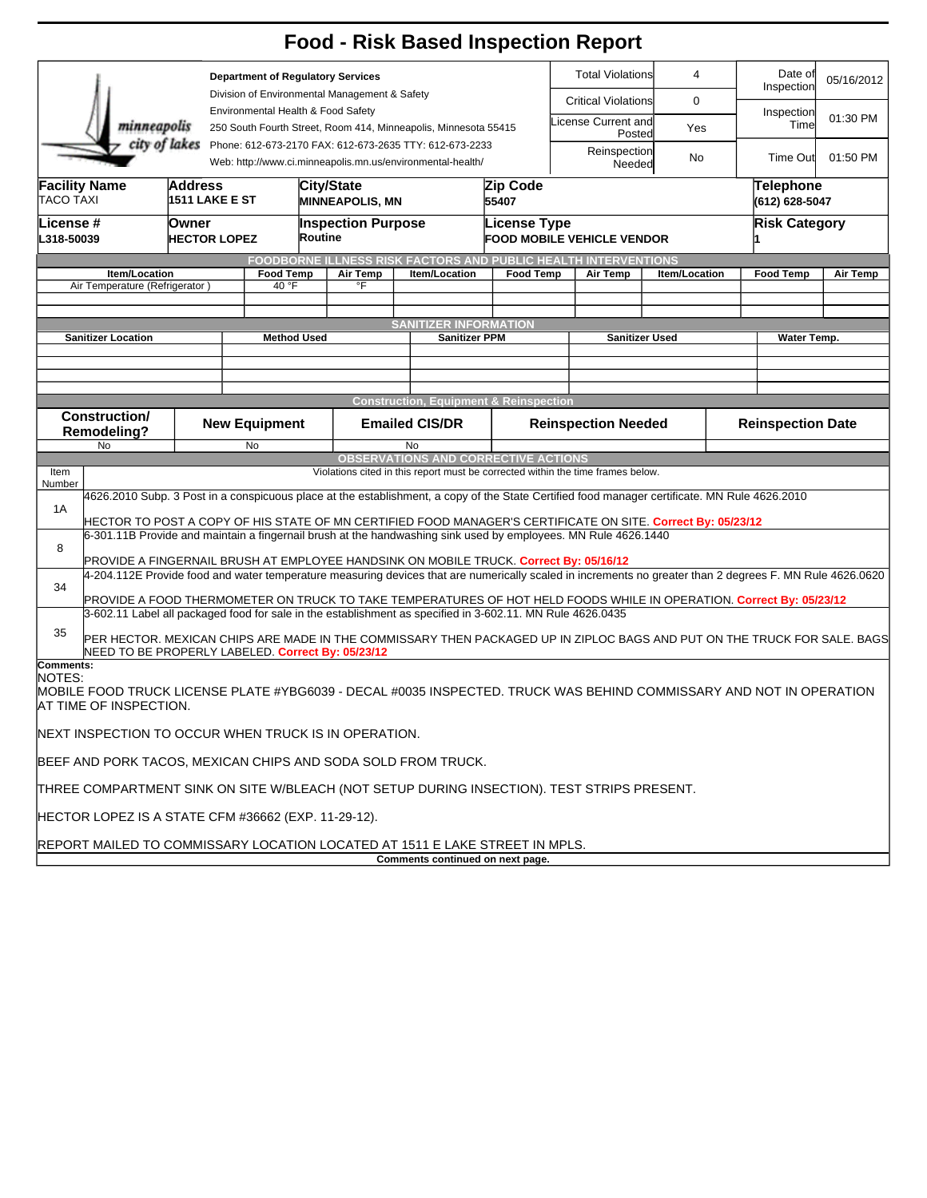|                                                                                                                                                                |                                                                                                                                                                                                                               |                                         |                                                                                     |                                                                |  |                                                                                                                                                                               |                                                                                       |                               | <b>Food - Risk Based Inspection Report</b>                                                                                                    |                              |                                     |                             |                 |  |  |
|----------------------------------------------------------------------------------------------------------------------------------------------------------------|-------------------------------------------------------------------------------------------------------------------------------------------------------------------------------------------------------------------------------|-----------------------------------------|-------------------------------------------------------------------------------------|----------------------------------------------------------------|--|-------------------------------------------------------------------------------------------------------------------------------------------------------------------------------|---------------------------------------------------------------------------------------|-------------------------------|-----------------------------------------------------------------------------------------------------------------------------------------------|------------------------------|-------------------------------------|-----------------------------|-----------------|--|--|
| <b>Department of Regulatory Services</b>                                                                                                                       |                                                                                                                                                                                                                               |                                         |                                                                                     |                                                                |  |                                                                                                                                                                               |                                                                                       | <b>Total Violations</b>       | $\overline{4}$                                                                                                                                |                              | Date of<br>05/16/2012<br>Inspection |                             |                 |  |  |
|                                                                                                                                                                |                                                                                                                                                                                                                               |                                         | Division of Environmental Management & Safety<br>Environmental Health & Food Safety |                                                                |  |                                                                                                                                                                               |                                                                                       |                               | <b>Critical Violations</b>                                                                                                                    | 0                            |                                     |                             |                 |  |  |
| minneapolis<br>250 South Fourth Street, Room 414, Minneapolis, Minnesota 55415                                                                                 |                                                                                                                                                                                                                               |                                         |                                                                                     |                                                                |  |                                                                                                                                                                               |                                                                                       | License Current and<br>Posted | Inspection<br>Time<br>Yes                                                                                                                     |                              | 01:30 PM                            |                             |                 |  |  |
| city of lakes Phone: 612-673-2170 FAX: 612-673-2635 TTY: 612-673-2233                                                                                          |                                                                                                                                                                                                                               |                                         |                                                                                     |                                                                |  |                                                                                                                                                                               | Web: http://www.ci.minneapolis.mn.us/environmental-health/                            |                               |                                                                                                                                               | Reinspection<br>No<br>Needed |                                     |                             | 01:50 PM        |  |  |
| <b>TACO TAXI</b>                                                                                                                                               | <b>Facility Name</b>                                                                                                                                                                                                          | <b>Address</b><br><b>1511 LAKE E ST</b> |                                                                                     |                                                                |  | City/State<br>Zip Code<br><b>MINNEAPOLIS, MN</b><br>55407                                                                                                                     |                                                                                       |                               |                                                                                                                                               |                              |                                     | Telephone<br>(612) 628-5047 |                 |  |  |
| License #<br>L318-50039                                                                                                                                        |                                                                                                                                                                                                                               | Owner<br><b>HECTOR LOPEZ</b>            |                                                                                     | <b>Inspection Purpose</b><br>Routine                           |  |                                                                                                                                                                               | License Type<br><b>FOOD MOBILE VEHICLE VENDOR</b>                                     |                               |                                                                                                                                               |                              | <b>Risk Category</b>                |                             |                 |  |  |
|                                                                                                                                                                |                                                                                                                                                                                                                               |                                         |                                                                                     | FOODBORNE ILLNESS RISK FACTORS AND PUBLIC HEALTH INTERVENTIONS |  |                                                                                                                                                                               |                                                                                       |                               |                                                                                                                                               |                              |                                     |                             |                 |  |  |
|                                                                                                                                                                | Item/Location<br>Air Temperature (Refrigerator                                                                                                                                                                                |                                         |                                                                                     | <b>Food Temp</b><br>40 °F                                      |  | Air Temp<br>°F                                                                                                                                                                | Item/Location                                                                         | <b>Food Temp</b>              | Air Temp                                                                                                                                      | Item/Location                |                                     | <b>Food Temp</b>            | <b>Air Temp</b> |  |  |
|                                                                                                                                                                |                                                                                                                                                                                                                               |                                         |                                                                                     |                                                                |  |                                                                                                                                                                               |                                                                                       |                               |                                                                                                                                               |                              |                                     |                             |                 |  |  |
|                                                                                                                                                                |                                                                                                                                                                                                                               |                                         |                                                                                     |                                                                |  |                                                                                                                                                                               | <b>SANITIZER INFORMATION</b>                                                          |                               |                                                                                                                                               |                              |                                     |                             |                 |  |  |
|                                                                                                                                                                | <b>Sanitizer Location</b>                                                                                                                                                                                                     |                                         | <b>Method Used</b>                                                                  |                                                                |  |                                                                                                                                                                               | Sanitizer PPM                                                                         |                               | <b>Sanitizer Used</b>                                                                                                                         |                              |                                     |                             | Water Temp.     |  |  |
|                                                                                                                                                                |                                                                                                                                                                                                                               |                                         |                                                                                     |                                                                |  |                                                                                                                                                                               |                                                                                       |                               |                                                                                                                                               |                              |                                     |                             |                 |  |  |
|                                                                                                                                                                |                                                                                                                                                                                                                               |                                         |                                                                                     |                                                                |  |                                                                                                                                                                               |                                                                                       |                               |                                                                                                                                               |                              |                                     |                             |                 |  |  |
|                                                                                                                                                                | <b>Construction/</b>                                                                                                                                                                                                          |                                         |                                                                                     |                                                                |  |                                                                                                                                                                               | <b>Construction, Equipment &amp; Reinspection</b>                                     |                               |                                                                                                                                               |                              |                                     |                             |                 |  |  |
|                                                                                                                                                                | Remodeling?                                                                                                                                                                                                                   |                                         | <b>New Equipment</b>                                                                |                                                                |  | <b>Emailed CIS/DR</b>                                                                                                                                                         |                                                                                       | <b>Reinspection Needed</b>    |                                                                                                                                               | <b>Reinspection Date</b>     |                                     |                             |                 |  |  |
|                                                                                                                                                                | No                                                                                                                                                                                                                            |                                         |                                                                                     | No                                                             |  |                                                                                                                                                                               | No<br><b>OBSERVATIONS AND CORRECTIVE ACTIONS</b>                                      |                               |                                                                                                                                               |                              |                                     |                             |                 |  |  |
| Item                                                                                                                                                           |                                                                                                                                                                                                                               |                                         |                                                                                     |                                                                |  |                                                                                                                                                                               |                                                                                       |                               | Violations cited in this report must be corrected within the time frames below.                                                               |                              |                                     |                             |                 |  |  |
| Number                                                                                                                                                         |                                                                                                                                                                                                                               |                                         |                                                                                     |                                                                |  |                                                                                                                                                                               |                                                                                       |                               | 4626.2010 Subp. 3 Post in a conspicuous place at the establishment, a copy of the State Certified food manager certificate. MN Rule 4626.2010 |                              |                                     |                             |                 |  |  |
| 1A                                                                                                                                                             |                                                                                                                                                                                                                               |                                         |                                                                                     |                                                                |  |                                                                                                                                                                               |                                                                                       |                               |                                                                                                                                               |                              |                                     |                             |                 |  |  |
|                                                                                                                                                                | HECTOR TO POST A COPY OF HIS STATE OF MN CERTIFIED FOOD MANAGER'S CERTIFICATE ON SITE. Correct By: 05/23/12<br>6-301.11B Provide and maintain a fingernail brush at the handwashing sink used by employees. MN Rule 4626.1440 |                                         |                                                                                     |                                                                |  |                                                                                                                                                                               |                                                                                       |                               |                                                                                                                                               |                              |                                     |                             |                 |  |  |
| 8                                                                                                                                                              |                                                                                                                                                                                                                               |                                         |                                                                                     |                                                                |  |                                                                                                                                                                               | PROVIDE A FINGERNAIL BRUSH AT EMPLOYEE HANDSINK ON MOBILE TRUCK. Correct By: 05/16/12 |                               |                                                                                                                                               |                              |                                     |                             |                 |  |  |
| 4-204.112E Provide food and water temperature measuring devices that are numerically scaled in increments no greater than 2 degrees F. MN Rule 4626.0620<br>34 |                                                                                                                                                                                                                               |                                         |                                                                                     |                                                                |  |                                                                                                                                                                               |                                                                                       |                               |                                                                                                                                               |                              |                                     |                             |                 |  |  |
|                                                                                                                                                                |                                                                                                                                                                                                                               |                                         |                                                                                     |                                                                |  |                                                                                                                                                                               |                                                                                       |                               | PROVIDE A FOOD THERMOMETER ON TRUCK TO TAKE TEMPERATURES OF HOT HELD FOODS WHILE IN OPERATION. Correct By: 05/23/12                           |                              |                                     |                             |                 |  |  |
|                                                                                                                                                                | 3-602.11 Label all packaged food for sale in the establishment as specified in 3-602.11. MN Rule 4626.0435                                                                                                                    |                                         |                                                                                     |                                                                |  |                                                                                                                                                                               |                                                                                       |                               |                                                                                                                                               |                              |                                     |                             |                 |  |  |
| 35                                                                                                                                                             |                                                                                                                                                                                                                               |                                         |                                                                                     |                                                                |  | PER HECTOR. MEXICAN CHIPS ARE MADE IN THE COMMISSARY THEN PACKAGED UP IN ZIPLOC BAGS AND PUT ON THE TRUCK FOR SALE. BAGS<br>NEED TO BE PROPERLY LABELED. Correct By: 05/23/12 |                                                                                       |                               |                                                                                                                                               |                              |                                     |                             |                 |  |  |
| Comments:                                                                                                                                                      |                                                                                                                                                                                                                               |                                         |                                                                                     |                                                                |  |                                                                                                                                                                               |                                                                                       |                               |                                                                                                                                               |                              |                                     |                             |                 |  |  |
| NOTES:                                                                                                                                                         | AT TIME OF INSPECTION.                                                                                                                                                                                                        |                                         |                                                                                     |                                                                |  |                                                                                                                                                                               |                                                                                       |                               | MOBILE FOOD TRUCK LICENSE PLATE #YBG6039 - DECAL #0035 INSPECTED. TRUCK WAS BEHIND COMMISSARY AND NOT IN OPERATION                            |                              |                                     |                             |                 |  |  |
|                                                                                                                                                                | NEXT INSPECTION TO OCCUR WHEN TRUCK IS IN OPERATION.                                                                                                                                                                          |                                         |                                                                                     |                                                                |  |                                                                                                                                                                               |                                                                                       |                               |                                                                                                                                               |                              |                                     |                             |                 |  |  |
|                                                                                                                                                                |                                                                                                                                                                                                                               |                                         |                                                                                     |                                                                |  |                                                                                                                                                                               | BEEF AND PORK TACOS, MEXICAN CHIPS AND SODA SOLD FROM TRUCK.                          |                               |                                                                                                                                               |                              |                                     |                             |                 |  |  |
|                                                                                                                                                                |                                                                                                                                                                                                                               |                                         |                                                                                     |                                                                |  |                                                                                                                                                                               |                                                                                       |                               | THREE COMPARTMENT SINK ON SITE W/BLEACH (NOT SETUP DURING INSECTION). TEST STRIPS PRESENT.                                                    |                              |                                     |                             |                 |  |  |
|                                                                                                                                                                | HECTOR LOPEZ IS A STATE CFM #36662 (EXP. 11-29-12).                                                                                                                                                                           |                                         |                                                                                     |                                                                |  |                                                                                                                                                                               |                                                                                       |                               |                                                                                                                                               |                              |                                     |                             |                 |  |  |
|                                                                                                                                                                |                                                                                                                                                                                                                               |                                         |                                                                                     |                                                                |  |                                                                                                                                                                               | <b>REPORT MAILED TO COMMISSARY LOCATION LOCATED AT 1511 E LAKE STREET IN MPLS.</b>    |                               |                                                                                                                                               |                              |                                     |                             |                 |  |  |
|                                                                                                                                                                |                                                                                                                                                                                                                               |                                         |                                                                                     |                                                                |  |                                                                                                                                                                               | Comments continued on next page.                                                      |                               |                                                                                                                                               |                              |                                     |                             |                 |  |  |